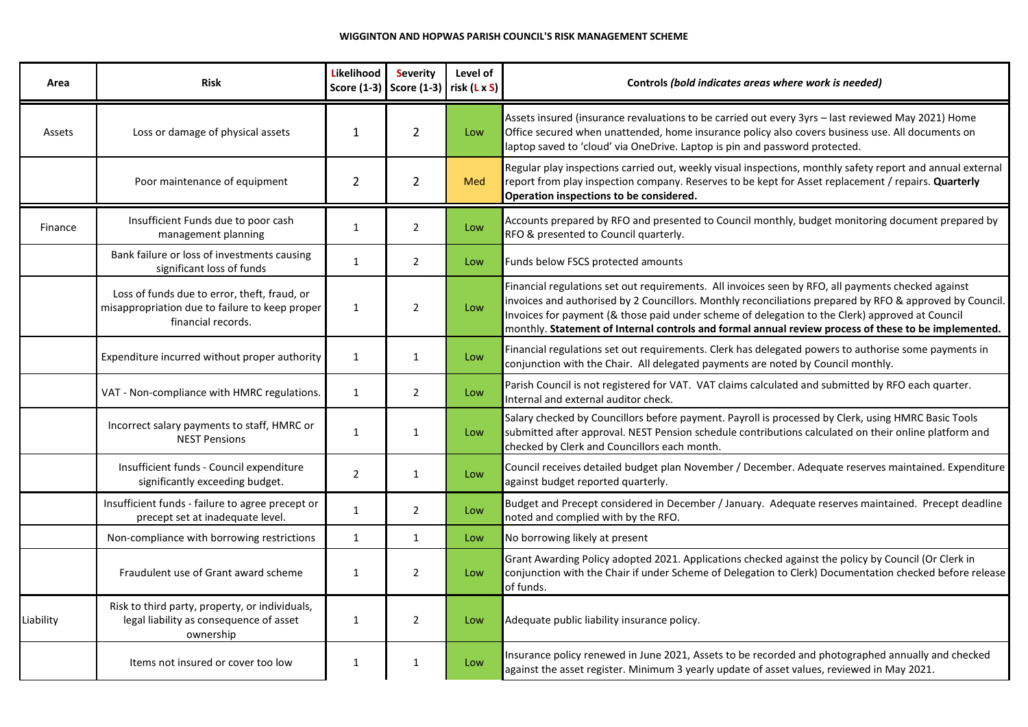| Area      | Risk                                                                                                                 | Likelihood     | <b>Severity</b><br>Score $(1-3)$ Score $(1-3)$ risk $(L \times S)$ | Level of | Controls (bold indicates areas where work is needed)                                                                                                                                                                                                                                                                                                                                                                      |  |
|-----------|----------------------------------------------------------------------------------------------------------------------|----------------|--------------------------------------------------------------------|----------|---------------------------------------------------------------------------------------------------------------------------------------------------------------------------------------------------------------------------------------------------------------------------------------------------------------------------------------------------------------------------------------------------------------------------|--|
| Assets    | Loss or damage of physical assets                                                                                    | $\mathbf{1}$   | $\overline{2}$                                                     | Low      | Assets insured (insurance revaluations to be carried out every 3yrs - last reviewed May 2021) Home<br>Office secured when unattended, home insurance policy also covers business use. All documents on<br>laptop saved to 'cloud' via OneDrive. Laptop is pin and password protected.                                                                                                                                     |  |
|           | Poor maintenance of equipment                                                                                        | $\overline{2}$ | $\overline{2}$                                                     | Med      | Regular play inspections carried out, weekly visual inspections, monthly safety report and annual external<br>report from play inspection company. Reserves to be kept for Asset replacement / repairs. Quarterly<br>Operation inspections to be considered.                                                                                                                                                              |  |
| Finance   | Insufficient Funds due to poor cash<br>management planning                                                           | $\mathbf{1}$   | $\overline{2}$                                                     | Low      | Accounts prepared by RFO and presented to Council monthly, budget monitoring document prepared by<br>RFO & presented to Council quarterly.                                                                                                                                                                                                                                                                                |  |
|           | Bank failure or loss of investments causing<br>significant loss of funds                                             | $\mathbf{1}$   | $2^{\circ}$                                                        | Low      | Funds below FSCS protected amounts                                                                                                                                                                                                                                                                                                                                                                                        |  |
|           | Loss of funds due to error, theft, fraud, or<br>misappropriation due to failure to keep proper<br>financial records. | 1              | $2^{\circ}$                                                        | Low      | Financial regulations set out requirements. All invoices seen by RFO, all payments checked against<br>invoices and authorised by 2 Councillors. Monthly reconciliations prepared by RFO & approved by Council.<br>Invoices for payment (& those paid under scheme of delegation to the Clerk) approved at Council<br>monthly. Statement of Internal controls and formal annual review process of these to be implemented. |  |
|           | Expenditure incurred without proper authority                                                                        | $\mathbf{1}$   | $\mathbf{1}$                                                       | Low      | Financial regulations set out requirements. Clerk has delegated powers to authorise some payments in<br>conjunction with the Chair. All delegated payments are noted by Council monthly.                                                                                                                                                                                                                                  |  |
|           | VAT - Non-compliance with HMRC regulations.                                                                          | $\mathbf{1}$   | $\overline{2}$                                                     | Low      | Parish Council is not registered for VAT. VAT claims calculated and submitted by RFO each quarter.<br>Internal and external auditor check.                                                                                                                                                                                                                                                                                |  |
|           | Incorrect salary payments to staff, HMRC or<br><b>NEST Pensions</b>                                                  | $\mathbf{1}$   | $\mathbf{1}$                                                       | Low      | Salary checked by Councillors before payment. Payroll is processed by Clerk, using HMRC Basic Tools<br>submitted after approval. NEST Pension schedule contributions calculated on their online platform and<br>checked by Clerk and Councillors each month.                                                                                                                                                              |  |
|           | Insufficient funds - Council expenditure<br>significantly exceeding budget.                                          | $\overline{2}$ | $\mathbf{1}$                                                       | Low      | Council receives detailed budget plan November / December. Adequate reserves maintained. Expenditure<br>against budget reported quarterly.                                                                                                                                                                                                                                                                                |  |
|           | Insufficient funds - failure to agree precept or<br>precept set at inadequate level.                                 | $\mathbf{1}$   | $\overline{2}$                                                     | Low      | Budget and Precept considered in December / January. Adequate reserves maintained. Precept deadline<br>noted and complied with by the RFO.                                                                                                                                                                                                                                                                                |  |
|           | Non-compliance with borrowing restrictions                                                                           | $\mathbf{1}$   | $\mathbf{1}$                                                       | Low      | No borrowing likely at present                                                                                                                                                                                                                                                                                                                                                                                            |  |
|           | Fraudulent use of Grant award scheme                                                                                 | $\mathbf{1}$   | $2^{\circ}$                                                        | Low      | Grant Awarding Policy adopted 2021. Applications checked against the policy by Council (Or Clerk in<br>conjunction with the Chair if under Scheme of Delegation to Clerk) Documentation checked before release<br>of funds.                                                                                                                                                                                               |  |
| Liability | Risk to third party, property, or individuals,<br>legal liability as consequence of asset<br>ownership               | $\mathbf{1}$   | $2^{\circ}$                                                        | Low      | Adequate public liability insurance policy.                                                                                                                                                                                                                                                                                                                                                                               |  |
|           | Items not insured or cover too low                                                                                   | 1              | $\mathbf{1}$                                                       | Low      | Insurance policy renewed in June 2021, Assets to be recorded and photographed annually and checked<br>against the asset register. Minimum 3 yearly update of asset values, reviewed in May 2021.                                                                                                                                                                                                                          |  |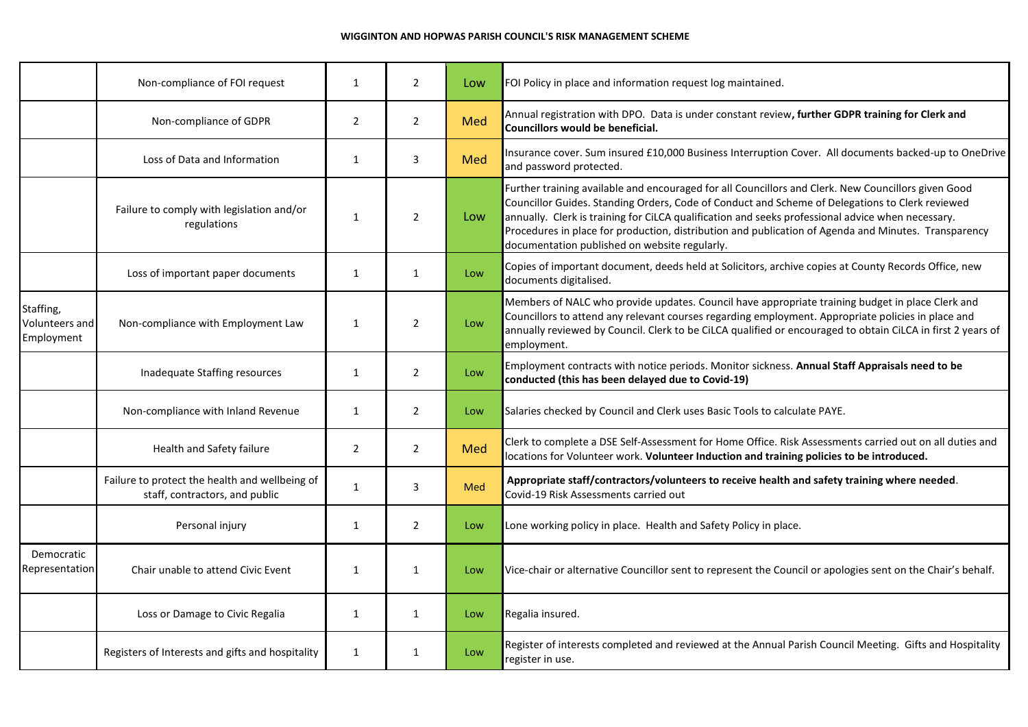## **WIGGINTON AND HOPWAS PARISH COUNCIL'S RISK MANAGEMENT SCHEME**

|                                           | Non-compliance of FOI request                                                    | 1              | $\overline{2}$ | Low                                            | FOI Policy in place and information request log maintained.                                                                                                                                                                                                                                                                                                                                                                                                          |  |
|-------------------------------------------|----------------------------------------------------------------------------------|----------------|----------------|------------------------------------------------|----------------------------------------------------------------------------------------------------------------------------------------------------------------------------------------------------------------------------------------------------------------------------------------------------------------------------------------------------------------------------------------------------------------------------------------------------------------------|--|
|                                           | Non-compliance of GDPR                                                           | $\overline{2}$ | $\overline{2}$ | Med                                            | Annual registration with DPO. Data is under constant review, further GDPR training for Clerk and<br>Councillors would be beneficial.<br>Insurance cover. Sum insured £10,000 Business Interruption Cover. All documents backed-up to OneDrive<br>and password protected.                                                                                                                                                                                             |  |
|                                           | Loss of Data and Information                                                     | 1              | $\overline{3}$ | Med                                            |                                                                                                                                                                                                                                                                                                                                                                                                                                                                      |  |
|                                           | Failure to comply with legislation and/or<br>regulations                         | $\mathbf{1}$   | $\overline{2}$ | Low                                            | Further training available and encouraged for all Councillors and Clerk. New Councillors given Good<br>Councillor Guides. Standing Orders, Code of Conduct and Scheme of Delegations to Clerk reviewed<br>annually. Clerk is training for CiLCA qualification and seeks professional advice when necessary.<br>Procedures in place for production, distribution and publication of Agenda and Minutes. Transparency<br>documentation published on website regularly. |  |
|                                           | Loss of important paper documents                                                | 1              | $\mathbf{1}$   | Low                                            | Copies of important document, deeds held at Solicitors, archive copies at County Records Office, new<br>documents digitalised.                                                                                                                                                                                                                                                                                                                                       |  |
| Staffing,<br>Volunteers and<br>Employment | Non-compliance with Employment Law                                               | 1              | $\overline{2}$ | Low                                            | Members of NALC who provide updates. Council have appropriate training budget in place Clerk and<br>Councillors to attend any relevant courses regarding employment. Appropriate policies in place and<br>annually reviewed by Council. Clerk to be CiLCA qualified or encouraged to obtain CiLCA in first 2 years of<br>employment.                                                                                                                                 |  |
|                                           | Inadequate Staffing resources                                                    | 1              | $\overline{2}$ | Low                                            | Employment contracts with notice periods. Monitor sickness. Annual Staff Appraisals need to be<br>conducted (this has been delayed due to Covid-19)                                                                                                                                                                                                                                                                                                                  |  |
|                                           | Non-compliance with Inland Revenue                                               | 1              | $\overline{2}$ | Low                                            | Salaries checked by Council and Clerk uses Basic Tools to calculate PAYE.                                                                                                                                                                                                                                                                                                                                                                                            |  |
|                                           | Health and Safety failure                                                        | $\overline{2}$ | $\overline{2}$ | Med                                            | Clerk to complete a DSE Self-Assessment for Home Office. Risk Assessments carried out on all duties and<br>locations for Volunteer work. Volunteer Induction and training policies to be introduced.                                                                                                                                                                                                                                                                 |  |
|                                           | Failure to protect the health and wellbeing of<br>staff, contractors, and public | $\mathbf{1}$   | 3              | Med                                            | Appropriate staff/contractors/volunteers to receive health and safety training where needed.<br>Covid-19 Risk Assessments carried out                                                                                                                                                                                                                                                                                                                                |  |
|                                           | Personal injury                                                                  | 1              | $\overline{2}$ | Low                                            | Lone working policy in place. Health and Safety Policy in place.                                                                                                                                                                                                                                                                                                                                                                                                     |  |
| Democratic<br>Representation              | Chair unable to attend Civic Event                                               | 1              | $\mathbf{1}$   | Low<br>Regalia insured.<br>$\mathbf{1}$<br>Low | Vice-chair or alternative Councillor sent to represent the Council or apologies sent on the Chair's behalf.                                                                                                                                                                                                                                                                                                                                                          |  |
|                                           | Loss or Damage to Civic Regalia                                                  | 1              |                |                                                |                                                                                                                                                                                                                                                                                                                                                                                                                                                                      |  |
|                                           | Registers of Interests and gifts and hospitality                                 | 1              | $\mathbf{1}$   | Low                                            | Register of interests completed and reviewed at the Annual Parish Council Meeting. Gifts and Hospitality<br>register in use.                                                                                                                                                                                                                                                                                                                                         |  |